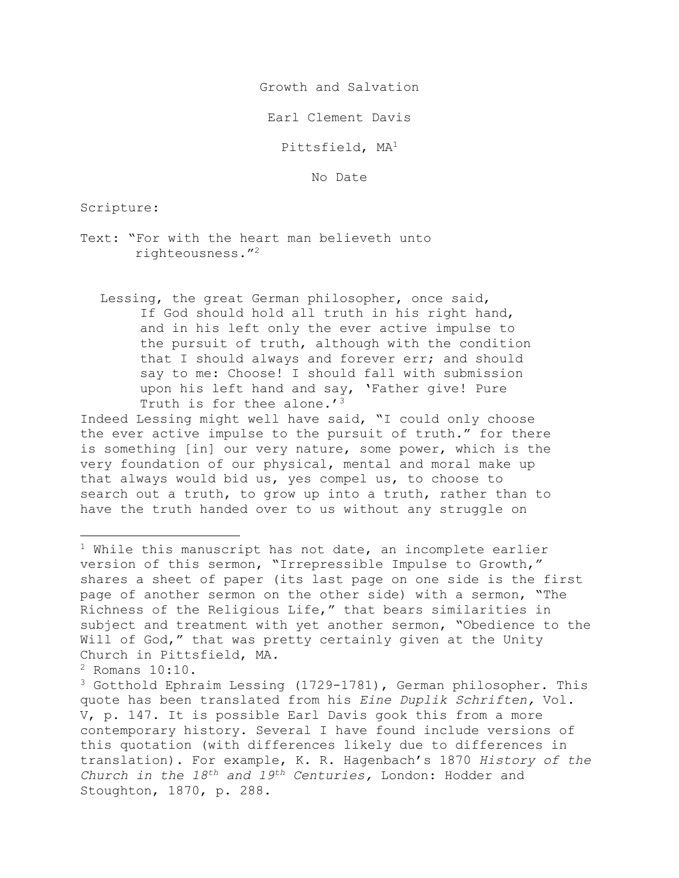Growth and Salvation

Earl Clement Davis

Pittsfield, MA1

No Date

Scripture:

- Text: "For with the heart man believeth unto righteousness."2
	- Lessing, the great German philosopher, once said, If God should hold all truth in his right hand, and in his left only the ever active impulse to the pursuit of truth, although with the condition that I should always and forever err; and should say to me: Choose! I should fall with submission upon his left hand and say, 'Father give! Pure Truth is for thee alone.'<sup>3</sup>

Indeed Lessing might well have said, "I could only choose the ever active impulse to the pursuit of truth." for there is something [in] our very nature, some power, which is the very foundation of our physical, mental and moral make up that always would bid us, yes compel us, to choose to search out a truth, to grow up into a truth, rather than to have the truth handed over to us without any struggle on

<sup>2</sup> Romans 10:10.

 $1$  While this manuscript has not date, an incomplete earlier version of this sermon, "Irrepressible Impulse to Growth," shares a sheet of paper (its last page on one side is the first page of another sermon on the other side) with a sermon, "The Richness of the Religious Life," that bears similarities in subject and treatment with yet another sermon, "Obedience to the Will of God," that was pretty certainly given at the Unity Church in Pittsfield, MA.

<sup>3</sup> Gotthold Ephraim Lessing (1729-1781), German philosopher. This quote has been translated from his *Eine Duplik Schriften,* Vol. V, p. 147. It is possible Earl Davis gook this from a more contemporary history. Several I have found include versions of this quotation (with differences likely due to differences in translation). For example, K. R. Hagenbach's 1870 *History of the Church in the 18th and 19th Centuries,* London: Hodder and Stoughton, 1870, p. 288.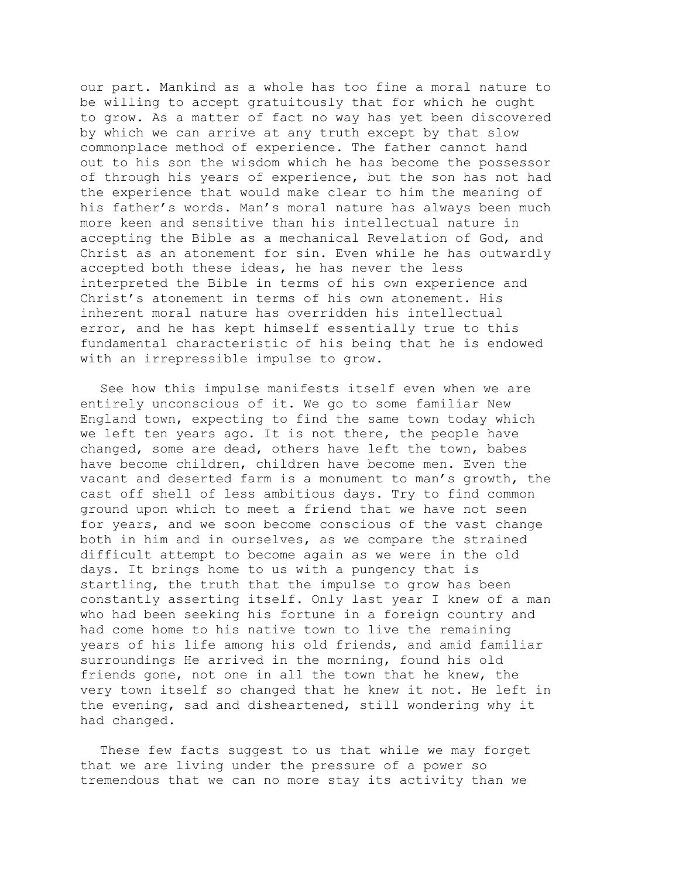our part. Mankind as a whole has too fine a moral nature to be willing to accept gratuitously that for which he ought to grow. As a matter of fact no way has yet been discovered by which we can arrive at any truth except by that slow commonplace method of experience. The father cannot hand out to his son the wisdom which he has become the possessor of through his years of experience, but the son has not had the experience that would make clear to him the meaning of his father's words. Man's moral nature has always been much more keen and sensitive than his intellectual nature in accepting the Bible as a mechanical Revelation of God, and Christ as an atonement for sin. Even while he has outwardly accepted both these ideas, he has never the less interpreted the Bible in terms of his own experience and Christ's atonement in terms of his own atonement. His inherent moral nature has overridden his intellectual error, and he has kept himself essentially true to this fundamental characteristic of his being that he is endowed with an irrepressible impulse to grow.

See how this impulse manifests itself even when we are entirely unconscious of it. We go to some familiar New England town, expecting to find the same town today which we left ten years ago. It is not there, the people have changed, some are dead, others have left the town, babes have become children, children have become men. Even the vacant and deserted farm is a monument to man's growth, the cast off shell of less ambitious days. Try to find common ground upon which to meet a friend that we have not seen for years, and we soon become conscious of the vast change both in him and in ourselves, as we compare the strained difficult attempt to become again as we were in the old days. It brings home to us with a pungency that is startling, the truth that the impulse to grow has been constantly asserting itself. Only last year I knew of a man who had been seeking his fortune in a foreign country and had come home to his native town to live the remaining years of his life among his old friends, and amid familiar surroundings He arrived in the morning, found his old friends gone, not one in all the town that he knew, the very town itself so changed that he knew it not. He left in the evening, sad and disheartened, still wondering why it had changed.

These few facts suggest to us that while we may forget that we are living under the pressure of a power so tremendous that we can no more stay its activity than we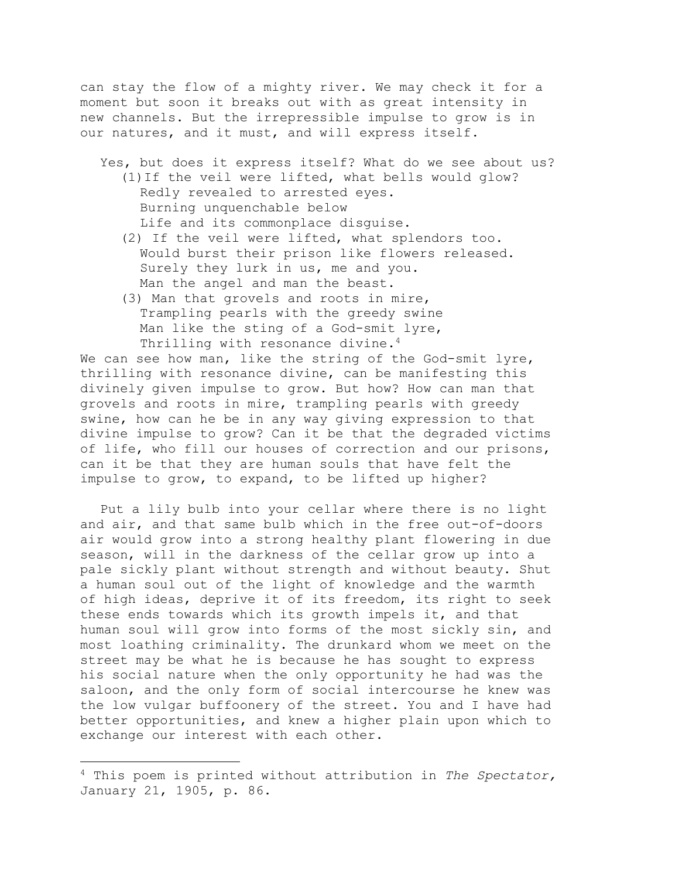can stay the flow of a mighty river. We may check it for a moment but soon it breaks out with as great intensity in new channels. But the irrepressible impulse to grow is in our natures, and it must, and will express itself.

- Yes, but does it express itself? What do we see about us? (1)If the veil were lifted, what bells would glow? Redly revealed to arrested eyes. Burning unquenchable below Life and its commonplace disguise.
	- (2) If the veil were lifted, what splendors too. Would burst their prison like flowers released. Surely they lurk in us, me and you. Man the angel and man the beast.
	- (3) Man that grovels and roots in mire, Trampling pearls with the greedy swine Man like the sting of a God-smit lyre, Thrilling with resonance divine.<sup>4</sup>

We can see how man, like the string of the God-smit lyre, thrilling with resonance divine, can be manifesting this divinely given impulse to grow. But how? How can man that grovels and roots in mire, trampling pearls with greedy swine, how can he be in any way giving expression to that divine impulse to grow? Can it be that the degraded victims of life, who fill our houses of correction and our prisons, can it be that they are human souls that have felt the impulse to grow, to expand, to be lifted up higher?

Put a lily bulb into your cellar where there is no light and air, and that same bulb which in the free out-of-doors air would grow into a strong healthy plant flowering in due season, will in the darkness of the cellar grow up into a pale sickly plant without strength and without beauty. Shut a human soul out of the light of knowledge and the warmth of high ideas, deprive it of its freedom, its right to seek these ends towards which its growth impels it, and that human soul will grow into forms of the most sickly sin, and most loathing criminality. The drunkard whom we meet on the street may be what he is because he has sought to express his social nature when the only opportunity he had was the saloon, and the only form of social intercourse he knew was the low vulgar buffoonery of the street. You and I have had better opportunities, and knew a higher plain upon which to exchange our interest with each other.

<sup>4</sup> This poem is printed without attribution in *The Spectator,* January 21, 1905, p. 86.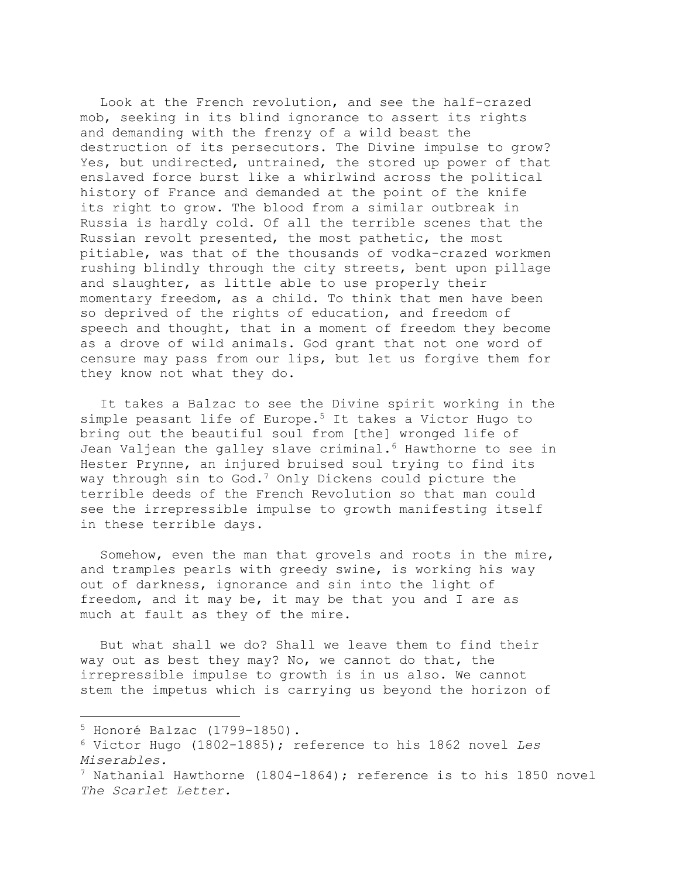Look at the French revolution, and see the half-crazed mob, seeking in its blind ignorance to assert its rights and demanding with the frenzy of a wild beast the destruction of its persecutors. The Divine impulse to grow? Yes, but undirected, untrained, the stored up power of that enslaved force burst like a whirlwind across the political history of France and demanded at the point of the knife its right to grow. The blood from a similar outbreak in Russia is hardly cold. Of all the terrible scenes that the Russian revolt presented, the most pathetic, the most pitiable, was that of the thousands of vodka-crazed workmen rushing blindly through the city streets, bent upon pillage and slaughter, as little able to use properly their momentary freedom, as a child. To think that men have been so deprived of the rights of education, and freedom of speech and thought, that in a moment of freedom they become as a drove of wild animals. God grant that not one word of censure may pass from our lips, but let us forgive them for they know not what they do.

It takes a Balzac to see the Divine spirit working in the simple peasant life of Europe.5 It takes a Victor Hugo to bring out the beautiful soul from [the] wronged life of Jean Valjean the galley slave criminal.<sup>6</sup> Hawthorne to see in Hester Prynne, an injured bruised soul trying to find its way through sin to God.<sup>7</sup> Only Dickens could picture the terrible deeds of the French Revolution so that man could see the irrepressible impulse to growth manifesting itself in these terrible days.

Somehow, even the man that grovels and roots in the mire, and tramples pearls with greedy swine, is working his way out of darkness, ignorance and sin into the light of freedom, and it may be, it may be that you and I are as much at fault as they of the mire.

But what shall we do? Shall we leave them to find their way out as best they may? No, we cannot do that, the irrepressible impulse to growth is in us also. We cannot stem the impetus which is carrying us beyond the horizon of

 $5$  Honoré Balzac (1799-1850).

<sup>6</sup> Victor Hugo (1802-1885); reference to his 1862 novel *Les Miserables.*

 $7$  Nathanial Hawthorne (1804-1864); reference is to his 1850 novel *The Scarlet Letter.*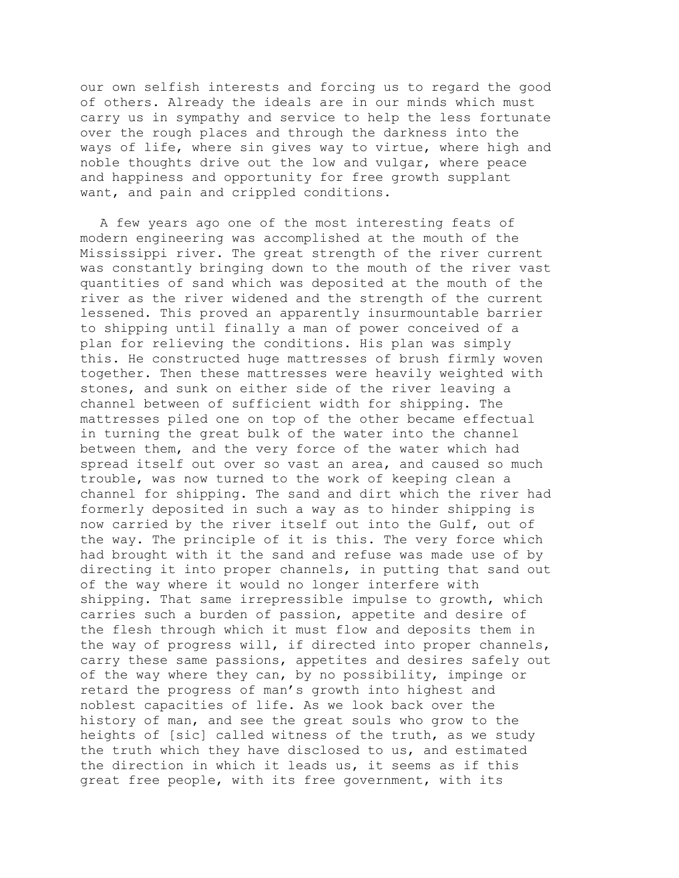our own selfish interests and forcing us to regard the good of others. Already the ideals are in our minds which must carry us in sympathy and service to help the less fortunate over the rough places and through the darkness into the ways of life, where sin gives way to virtue, where high and noble thoughts drive out the low and vulgar, where peace and happiness and opportunity for free growth supplant want, and pain and crippled conditions.

A few years ago one of the most interesting feats of modern engineering was accomplished at the mouth of the Mississippi river. The great strength of the river current was constantly bringing down to the mouth of the river vast quantities of sand which was deposited at the mouth of the river as the river widened and the strength of the current lessened. This proved an apparently insurmountable barrier to shipping until finally a man of power conceived of a plan for relieving the conditions. His plan was simply this. He constructed huge mattresses of brush firmly woven together. Then these mattresses were heavily weighted with stones, and sunk on either side of the river leaving a channel between of sufficient width for shipping. The mattresses piled one on top of the other became effectual in turning the great bulk of the water into the channel between them, and the very force of the water which had spread itself out over so vast an area, and caused so much trouble, was now turned to the work of keeping clean a channel for shipping. The sand and dirt which the river had formerly deposited in such a way as to hinder shipping is now carried by the river itself out into the Gulf, out of the way. The principle of it is this. The very force which had brought with it the sand and refuse was made use of by directing it into proper channels, in putting that sand out of the way where it would no longer interfere with shipping. That same irrepressible impulse to growth, which carries such a burden of passion, appetite and desire of the flesh through which it must flow and deposits them in the way of progress will, if directed into proper channels, carry these same passions, appetites and desires safely out of the way where they can, by no possibility, impinge or retard the progress of man's growth into highest and noblest capacities of life. As we look back over the history of man, and see the great souls who grow to the heights of [sic] called witness of the truth, as we study the truth which they have disclosed to us, and estimated the direction in which it leads us, it seems as if this great free people, with its free government, with its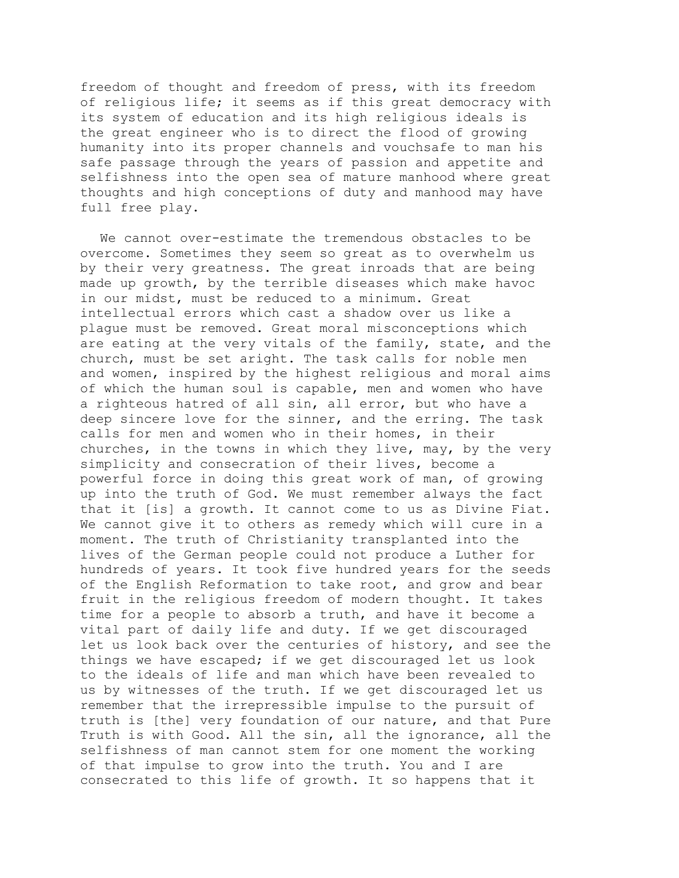freedom of thought and freedom of press, with its freedom of religious life; it seems as if this great democracy with its system of education and its high religious ideals is the great engineer who is to direct the flood of growing humanity into its proper channels and vouchsafe to man his safe passage through the years of passion and appetite and selfishness into the open sea of mature manhood where great thoughts and high conceptions of duty and manhood may have full free play.

We cannot over-estimate the tremendous obstacles to be overcome. Sometimes they seem so great as to overwhelm us by their very greatness. The great inroads that are being made up growth, by the terrible diseases which make havoc in our midst, must be reduced to a minimum. Great intellectual errors which cast a shadow over us like a plague must be removed. Great moral misconceptions which are eating at the very vitals of the family, state, and the church, must be set aright. The task calls for noble men and women, inspired by the highest religious and moral aims of which the human soul is capable, men and women who have a righteous hatred of all sin, all error, but who have a deep sincere love for the sinner, and the erring. The task calls for men and women who in their homes, in their churches, in the towns in which they live, may, by the very simplicity and consecration of their lives, become a powerful force in doing this great work of man, of growing up into the truth of God. We must remember always the fact that it [is] a growth. It cannot come to us as Divine Fiat. We cannot give it to others as remedy which will cure in a moment. The truth of Christianity transplanted into the lives of the German people could not produce a Luther for hundreds of years. It took five hundred years for the seeds of the English Reformation to take root, and grow and bear fruit in the religious freedom of modern thought. It takes time for a people to absorb a truth, and have it become a vital part of daily life and duty. If we get discouraged let us look back over the centuries of history, and see the things we have escaped; if we get discouraged let us look to the ideals of life and man which have been revealed to us by witnesses of the truth. If we get discouraged let us remember that the irrepressible impulse to the pursuit of truth is [the] very foundation of our nature, and that Pure Truth is with Good. All the sin, all the ignorance, all the selfishness of man cannot stem for one moment the working of that impulse to grow into the truth. You and I are consecrated to this life of growth. It so happens that it